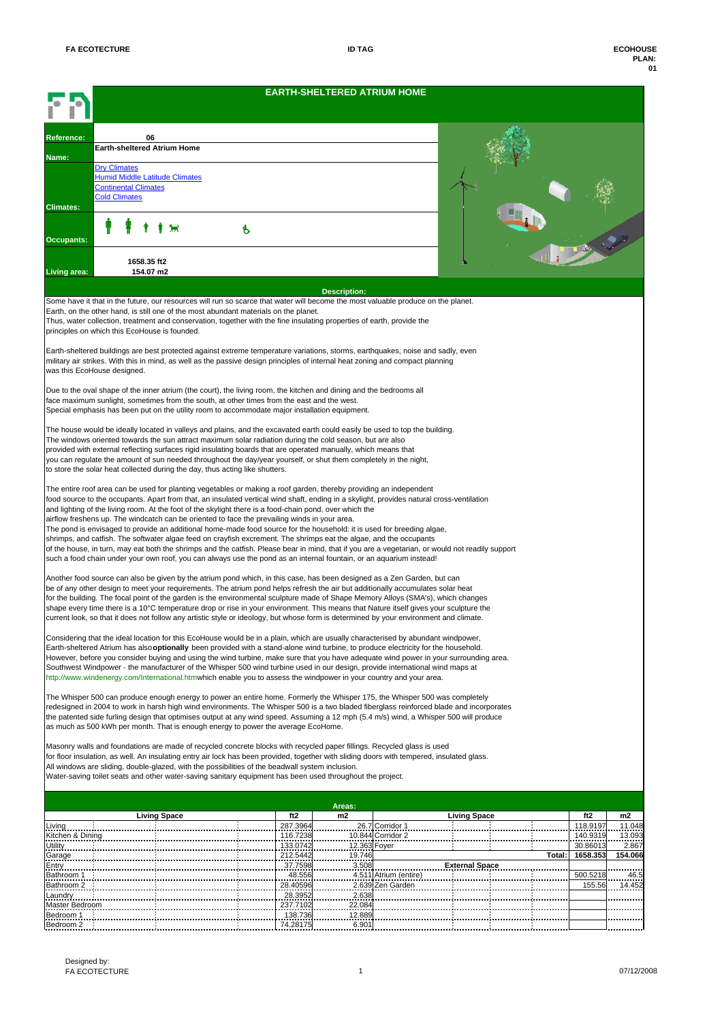|                           |                                                                                                                                                                                                                                                                                                                      |                      | <b>EARTH-SHELTERED ATRIUM HOME</b> |                       |                       |  |        |                      |                  |  |  |  |
|---------------------------|----------------------------------------------------------------------------------------------------------------------------------------------------------------------------------------------------------------------------------------------------------------------------------------------------------------------|----------------------|------------------------------------|-----------------------|-----------------------|--|--------|----------------------|------------------|--|--|--|
| Reference:                | 06                                                                                                                                                                                                                                                                                                                   |                      |                                    |                       |                       |  |        |                      |                  |  |  |  |
|                           | Earth-sheltered Atrium Home                                                                                                                                                                                                                                                                                          |                      |                                    |                       |                       |  |        |                      |                  |  |  |  |
| Name:                     | <b>Dry Climates</b>                                                                                                                                                                                                                                                                                                  |                      |                                    |                       |                       |  |        |                      |                  |  |  |  |
|                           | <b>Humid Middle Latitude Climates</b><br><b>Continental Climates</b>                                                                                                                                                                                                                                                 |                      |                                    |                       |                       |  |        |                      |                  |  |  |  |
| <b>Climates:</b>          | <b>Cold Climates</b>                                                                                                                                                                                                                                                                                                 |                      |                                    |                       |                       |  |        |                      |                  |  |  |  |
|                           |                                                                                                                                                                                                                                                                                                                      | Þ                    |                                    |                       |                       |  |        | FREE                 |                  |  |  |  |
| Occupants:                |                                                                                                                                                                                                                                                                                                                      |                      |                                    |                       |                       |  |        |                      |                  |  |  |  |
|                           |                                                                                                                                                                                                                                                                                                                      |                      |                                    |                       |                       |  |        |                      |                  |  |  |  |
| Living area:              | 1658.35 ft2<br>154.07 m2                                                                                                                                                                                                                                                                                             |                      |                                    |                       |                       |  |        |                      |                  |  |  |  |
| <b>Description:</b>       |                                                                                                                                                                                                                                                                                                                      |                      |                                    |                       |                       |  |        |                      |                  |  |  |  |
|                           | Some have it that in the future, our resources will run so scarce that water will become the most valuable produce on the planet.                                                                                                                                                                                    |                      |                                    |                       |                       |  |        |                      |                  |  |  |  |
|                           | Earth, on the other hand, is still one of the most abundant materials on the planet.<br>Thus, water collection, treatment and conservation, together with the fine insulating properties of earth, provide the                                                                                                       |                      |                                    |                       |                       |  |        |                      |                  |  |  |  |
|                           | principles on which this EcoHouse is founded.                                                                                                                                                                                                                                                                        |                      |                                    |                       |                       |  |        |                      |                  |  |  |  |
|                           | Earth-sheltered buildings are best protected against extreme temperature variations, storms, earthquakes, noise and sadly, even                                                                                                                                                                                      |                      |                                    |                       |                       |  |        |                      |                  |  |  |  |
|                           | military air strikes. With this in mind, as well as the passive design principles of internal heat zoning and compact planning<br>was this EcoHouse designed.                                                                                                                                                        |                      |                                    |                       |                       |  |        |                      |                  |  |  |  |
|                           |                                                                                                                                                                                                                                                                                                                      |                      |                                    |                       |                       |  |        |                      |                  |  |  |  |
|                           | Due to the oval shape of the inner atrium (the court), the living room, the kitchen and dining and the bedrooms all<br>face maximum sunlight, sometimes from the south, at other times from the east and the west.                                                                                                   |                      |                                    |                       |                       |  |        |                      |                  |  |  |  |
|                           | Special emphasis has been put on the utility room to accommodate major installation equipment.                                                                                                                                                                                                                       |                      |                                    |                       |                       |  |        |                      |                  |  |  |  |
|                           | The house would be ideally located in valleys and plains, and the excavated earth could easily be used to top the building.                                                                                                                                                                                          |                      |                                    |                       |                       |  |        |                      |                  |  |  |  |
|                           | The windows oriented towards the sun attract maximum solar radiation during the cold season, but are also                                                                                                                                                                                                            |                      |                                    |                       |                       |  |        |                      |                  |  |  |  |
|                           | provided with external reflecting surfaces rigid insulating boards that are operated manually, which means that<br>you can regulate the amount of sun needed throughout the day/year yourself, or shut them completely in the night,<br>to store the solar heat collected during the day, thus acting like shutters. |                      |                                    |                       |                       |  |        |                      |                  |  |  |  |
|                           |                                                                                                                                                                                                                                                                                                                      |                      |                                    |                       |                       |  |        |                      |                  |  |  |  |
|                           | The entire roof area can be used for planting vegetables or making a roof garden, thereby providing an independent<br>food source to the occupants. Apart from that, an insulated vertical wind shaft, ending in a skylight, provides natural cross-ventilation                                                      |                      |                                    |                       |                       |  |        |                      |                  |  |  |  |
|                           | and lighting of the living room. At the foot of the skylight there is a food-chain pond, over which the                                                                                                                                                                                                              |                      |                                    |                       |                       |  |        |                      |                  |  |  |  |
|                           | airflow freshens up. The windcatch can be oriented to face the prevailing winds in your area.<br>The pond is envisaged to provide an additional home-made food source for the household: it is used for breeding algae,                                                                                              |                      |                                    |                       |                       |  |        |                      |                  |  |  |  |
|                           | shrimps, and catfish. The softwater algae feed on crayfish excrement. The shrimps eat the algae, and the occupants<br>of the house, in turn, may eat both the shrimps and the catfish. Please bear in mind, that if you are a vegetarian, or would not readily support                                               |                      |                                    |                       |                       |  |        |                      |                  |  |  |  |
|                           | such a food chain under your own roof, you can always use the pond as an internal fountain, or an aquarium instead!                                                                                                                                                                                                  |                      |                                    |                       |                       |  |        |                      |                  |  |  |  |
|                           | Another food source can also be given by the atrium pond which, in this case, has been designed as a Zen Garden, but can                                                                                                                                                                                             |                      |                                    |                       |                       |  |        |                      |                  |  |  |  |
|                           | be of any other design to meet your requirements. The atrium pond helps refresh the air but additionally accumulates solar heat<br>for the building. The focal point of the garden is the environmental sculpture made of Shape Memory Alloys (SMA's), which changes                                                 |                      |                                    |                       |                       |  |        |                      |                  |  |  |  |
|                           | shape every time there is a 10°C temperature drop or rise in your environment. This means that Nature itself gives your sculpture the                                                                                                                                                                                |                      |                                    |                       |                       |  |        |                      |                  |  |  |  |
|                           | current look, so that it does not follow any artistic style or ideology, but whose form is determined by your environment and climate.                                                                                                                                                                               |                      |                                    |                       |                       |  |        |                      |                  |  |  |  |
|                           | Considering that the ideal location for this EcoHouse would be in a plain, which are usually characterised by abundant windpower,<br>Earth-sheltered Atrium has also optionally been provided with a stand-alone wind turbine, to produce electricity for the household.                                             |                      |                                    |                       |                       |  |        |                      |                  |  |  |  |
|                           | However, before you consider buying and using the wind turbine, make sure that you have adequate wind power in your surrounding area.                                                                                                                                                                                |                      |                                    |                       |                       |  |        |                      |                  |  |  |  |
|                           | Southwest Windpower - the manufacturer of the Whisper 500 wind turbine used in our design, provide international wind maps at<br>http://www.windenergy.com/International.htmwhich enable you to assess the windpower in your country and your area.                                                                  |                      |                                    |                       |                       |  |        |                      |                  |  |  |  |
|                           |                                                                                                                                                                                                                                                                                                                      |                      |                                    |                       |                       |  |        |                      |                  |  |  |  |
|                           | The Whisper 500 can produce enough energy to power an entire home. Formerly the Whisper 175, the Whisper 500 was completely<br>redesigned in 2004 to work in harsh high wind environments. The Whisper 500 is a two bladed fiberglass reinforced blade and incorporates                                              |                      |                                    |                       |                       |  |        |                      |                  |  |  |  |
|                           | the patented side furling design that optimises output at any wind speed. Assuming a 12 mph (5.4 m/s) wind, a Whisper 500 will produce<br>as much as 500 kWh per month. That is enough energy to power the average EcoHome.                                                                                          |                      |                                    |                       |                       |  |        |                      |                  |  |  |  |
|                           |                                                                                                                                                                                                                                                                                                                      |                      |                                    |                       |                       |  |        |                      |                  |  |  |  |
|                           | Masonry walls and foundations are made of recycled concrete blocks with recycled paper fillings. Recycled glass is used<br>for floor insulation, as well. An insulating entry air lock has been provided, together with sliding doors with tempered, insulated glass.                                                |                      |                                    |                       |                       |  |        |                      |                  |  |  |  |
|                           | All windows are sliding, double-glazed, with the possibilities of the beadwall system inclusion.<br>Water-saving toilet seats and other water-saving sanitary equipment has been used throughout the project.                                                                                                        |                      |                                    |                       |                       |  |        |                      |                  |  |  |  |
|                           |                                                                                                                                                                                                                                                                                                                      |                      |                                    |                       |                       |  |        |                      |                  |  |  |  |
|                           |                                                                                                                                                                                                                                                                                                                      |                      | Areas:                             |                       |                       |  |        |                      |                  |  |  |  |
| _iving                    | <b>Living Space</b>                                                                                                                                                                                                                                                                                                  | ft2<br>287.3964      | m2                                 | 26.7 Corridor 1       | <b>Living Space</b>   |  |        | ft2<br>118.9197      | m2<br>11.048     |  |  |  |
| Kitchen & Dining          |                                                                                                                                                                                                                                                                                                                      | 116.7238             |                                    | 10.844 Corridor 2     |                       |  |        | 140.9319             | 13.093           |  |  |  |
| Utility<br>Garage         |                                                                                                                                                                                                                                                                                                                      | 133.0742<br>212.5442 | 12.363 Foyer<br>19.746             |                       |                       |  | Total: | 30.86013<br>1658.353 | 2.867<br>154.066 |  |  |  |
| Entry<br>Bathroom 1       |                                                                                                                                                                                                                                                                                                                      | 37.7598<br>48.556    | 3.508                              | 4.511 Atrium (entire) | <b>External Space</b> |  |        | 500.5218             | 46.5             |  |  |  |
| Bathroom 2                |                                                                                                                                                                                                                                                                                                                      | 28.40596             |                                    | 2.639 Zen Garden      |                       |  |        | 155.56               | 14.452           |  |  |  |
| Laundry<br>Master Bedroom |                                                                                                                                                                                                                                                                                                                      | 28.3952<br>237.7102  | 2.638<br>22.084                    |                       |                       |  |        |                      |                  |  |  |  |
| Bedroom 1                 |                                                                                                                                                                                                                                                                                                                      | 138.736              | 12.889                             |                       |                       |  |        |                      |                  |  |  |  |
| Bedroom 2                 |                                                                                                                                                                                                                                                                                                                      | 74.28175             | 6.901                              |                       |                       |  |        |                      |                  |  |  |  |